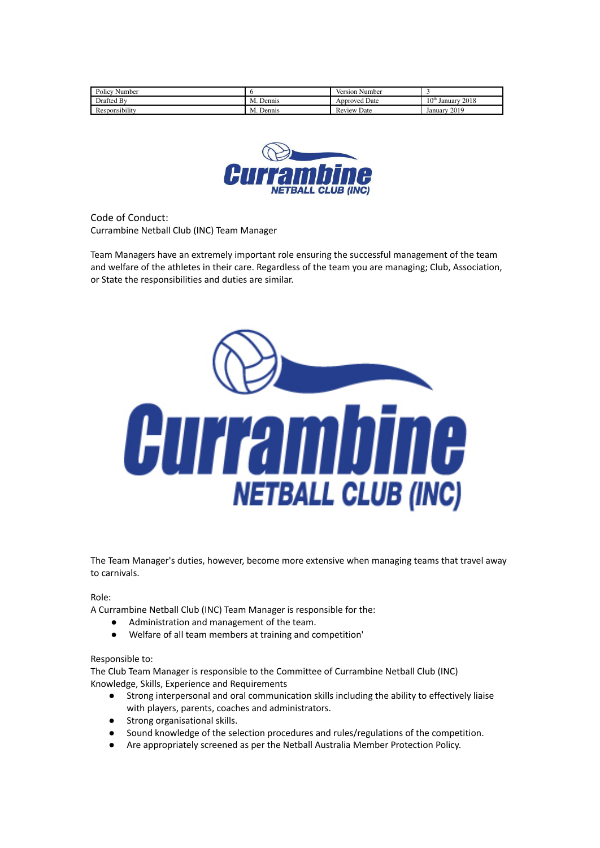| PolicV <sub>1</sub><br>Number |              | Version Number       |                                     |
|-------------------------------|--------------|----------------------|-------------------------------------|
| Drafted By                    | М.<br>Dennis | <b>Approved Date</b> | $10^{\text{th}}$<br>2018<br>Januarv |
| <br>Responsibility            | Dennis<br>M. | Date<br>Review       | 2019<br>January                     |



Code of Conduct: Currambine Netball Club (INC) Team Manager

Team Managers have an extremely important role ensuring the successful management of the team and welfare of the athletes in their care. Regardless of the team you are managing; Club, Association, or State the responsibilities and duties are similar.



The Team Manager's duties, however, become more extensive when managing teams that travel away to carnivals.

Role:

A Currambine Netball Club (INC) Team Manager is responsible for the:

- Administration and management of the team.
- Welfare of all team members at training and competition'

## Responsible to:

The Club Team Manager is responsible to the Committee of Currambine Netball Club (INC) Knowledge, Skills, Experience and Requirements

- Strong interpersonal and oral communication skills including the ability to effectively liaise with players, parents, coaches and administrators.
- Strong organisational skills.
- Sound knowledge of the selection procedures and rules/regulations of the competition.
- Are appropriately screened as per the Netball Australia Member Protection Policy.